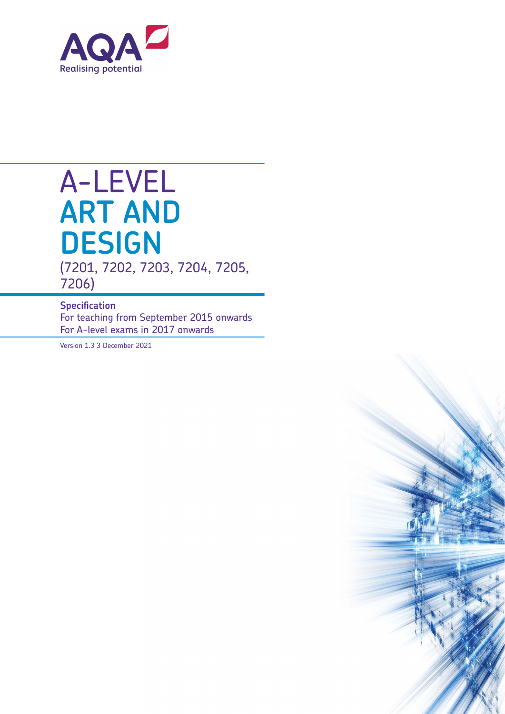

# A-LEVEL **ART AND DESIGN** (7201, 7202, 7203, 7204, 7205,

7206)

#### **Specification**

For teaching from September 2015 onwards For A-level exams in 2017 onwards

Version 1.3 3 December 2021

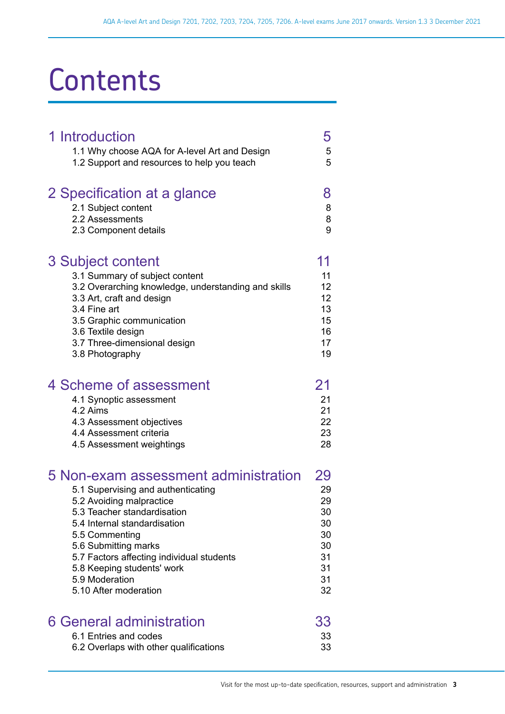# **Contents**

| 1 Introduction<br>1.1 Why choose AQA for A-level Art and Design<br>1.2 Support and resources to help you teach                                                                                                                                                                                                                        | 5<br>5<br>5                                                    |
|---------------------------------------------------------------------------------------------------------------------------------------------------------------------------------------------------------------------------------------------------------------------------------------------------------------------------------------|----------------------------------------------------------------|
| 2 Specification at a glance<br>2.1 Subject content<br>2.2 Assessments<br>2.3 Component details                                                                                                                                                                                                                                        | 8<br>8<br>8<br>9                                               |
| <b>3 Subject content</b><br>3.1 Summary of subject content<br>3.2 Overarching knowledge, understanding and skills<br>3.3 Art, craft and design<br>3.4 Fine art<br>3.5 Graphic communication<br>3.6 Textile design<br>3.7 Three-dimensional design<br>3.8 Photography                                                                  | 11<br>11<br>12<br>12<br>13<br>15<br>16<br>17<br>19             |
| 4 Scheme of assessment<br>4.1 Synoptic assessment<br>4.2 Aims<br>4.3 Assessment objectives<br>4.4 Assessment criteria<br>4.5 Assessment weightings                                                                                                                                                                                    | 21<br>21<br>21<br>22<br>23<br>28                               |
| 5 Non-exam assessment administration<br>5.1 Supervising and authenticating<br>5.2 Avoiding malpractice<br>5.3 Teacher standardisation<br>5.4 Internal standardisation<br>5.5 Commenting<br>5.6 Submitting marks<br>5.7 Factors affecting individual students<br>5.8 Keeping students' work<br>5.9 Moderation<br>5.10 After moderation | 29<br>29<br>29<br>30<br>30<br>30<br>30<br>31<br>31<br>31<br>32 |
| 6 General administration<br>6.1 Entries and codes<br>6.2 Overlaps with other qualifications                                                                                                                                                                                                                                           | 33<br>33<br>33                                                 |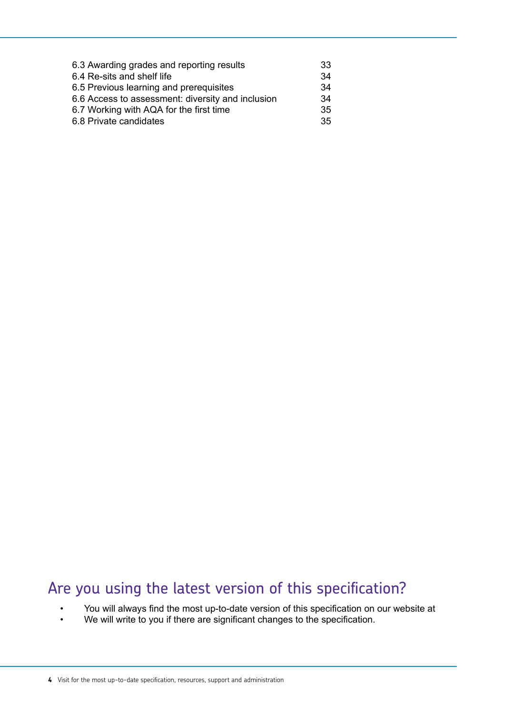| 6.3 Awarding grades and reporting results         | 33 |
|---------------------------------------------------|----|
| 6.4 Re-sits and shelf life                        | 34 |
| 6.5 Previous learning and prerequisites           | 34 |
| 6.6 Access to assessment: diversity and inclusion | 34 |
| 6.7 Working with AQA for the first time           | 35 |
| 6.8 Private candidates                            | 35 |

# Are you using the latest version of this specification?

- You will always find the most up-to-date version of this specification on our website at
- We will write to you if there are significant changes to the specification.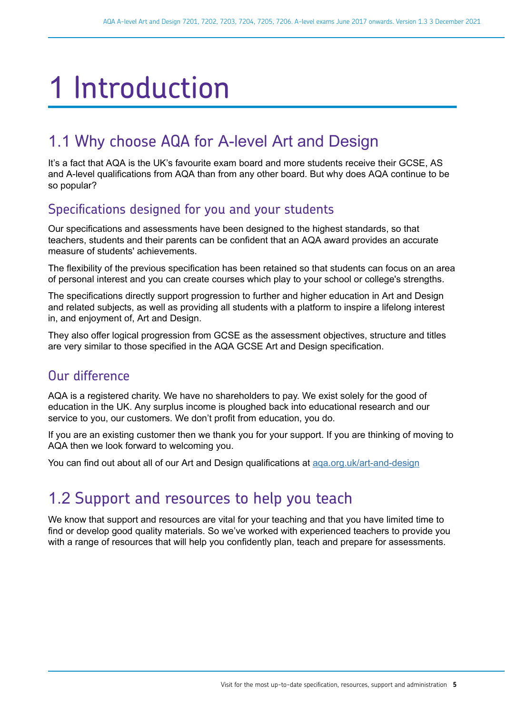# <span id="page-4-0"></span>1 Introduction

# 1.1 Why choose AQA for A-level Art and Design

It's a fact that AQA is the UK's favourite exam board and more students receive their GCSE, AS and A-level qualifications from AQA than from any other board. But why does AQA continue to be so popular?

## Specifications designed for you and your students

Our specifications and assessments have been designed to the highest standards, so that teachers, students and their parents can be confident that an AQA award provides an accurate measure of students' achievements.

The flexibility of the previous specification has been retained so that students can focus on an area of personal interest and you can create courses which play to your school or college's strengths.

The specifications directly support progression to further and higher education in Art and Design and related subjects, as well as providing all students with a platform to inspire a lifelong interest in, and enjoyment of, Art and Design.

They also offer logical progression from GCSE as the assessment objectives, structure and titles are very similar to those specified in the AQA GCSE Art and Design specification.

#### Our difference

AQA is a registered charity. We have no shareholders to pay. We exist solely for the good of education in the UK. Any surplus income is ploughed back into educational research and our service to you, our customers. We don't profit from education, you do.

If you are an existing customer then we thank you for your support. If you are thinking of moving to AQA then we look forward to welcoming you.

You can find out about all of our Art and Design qualifications at aga.org.uk/art-and-design

# 1.2 Support and resources to help you teach

We know that support and resources are vital for your teaching and that you have limited time to find or develop good quality materials. So we've worked with experienced teachers to provide you with a range of resources that will help you confidently plan, teach and prepare for assessments.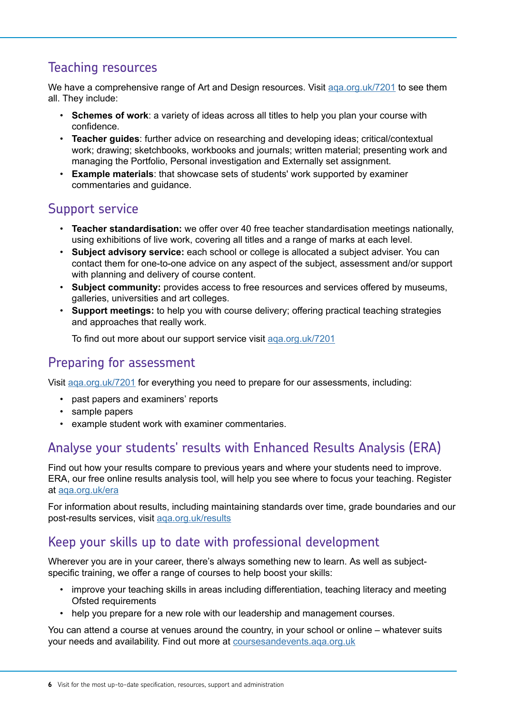### Teaching resources

We have a comprehensive range of Art and Design resources. Visit aga.org.uk/7201 to see them all. They include:

- **Schemes of work**: a variety of ideas across all titles to help you plan your course with confidence.
- **Teacher guides**: further advice on researching and developing ideas; critical/contextual work; drawing; sketchbooks, workbooks and journals; written material; presenting work and managing the Portfolio, Personal investigation and Externally set assignment.
- **Example materials**: that showcase sets of students' work supported by examiner commentaries and guidance.

## Support service

- **Teacher standardisation:** we offer over 40 free teacher standardisation meetings nationally, using exhibitions of live work, covering all titles and a range of marks at each level.
- **Subject advisory service:** each school or college is allocated a subject adviser. You can contact them for one-to-one advice on any aspect of the subject, assessment and/or support with planning and delivery of course content.
- **Subject community:** provides access to free resources and services offered by museums, galleries, universities and art colleges.
- **Support meetings:** to help you with course delivery; offering practical teaching strategies and approaches that really work.

To find out more about our support service visit [aqa.org.uk/7201](http://www.aqa.org.uk/7201)

#### Preparing for assessment

Visit [aqa.org.uk/7201](http://www.aqa.org.uk/7201) for everything you need to prepare for our assessments, including:

- past papers and examiners' reports
- sample papers
- example student work with examiner commentaries.

#### Analyse your students' results with Enhanced Results Analysis (ERA)

Find out how your results compare to previous years and where your students need to improve. ERA, our free online results analysis tool, will help you see where to focus your teaching. Register at [aqa.org.uk/era](http://www.aqa.org.uk/era)

For information about results, including maintaining standards over time, grade boundaries and our post-results services, visit [aqa.org.uk/results](http://www.aqa.org.uk/results)

#### Keep your skills up to date with professional development

Wherever you are in your career, there's always something new to learn. As well as subjectspecific training, we offer a range of courses to help boost your skills:

- improve your teaching skills in areas including differentiation, teaching literacy and meeting Ofsted requirements
- help you prepare for a new role with our leadership and management courses.

You can attend a course at venues around the country, in your school or online – whatever suits your needs and availability. Find out more at [coursesandevents.aqa.org.uk](http://coursesandevents.aqa.org.uk/)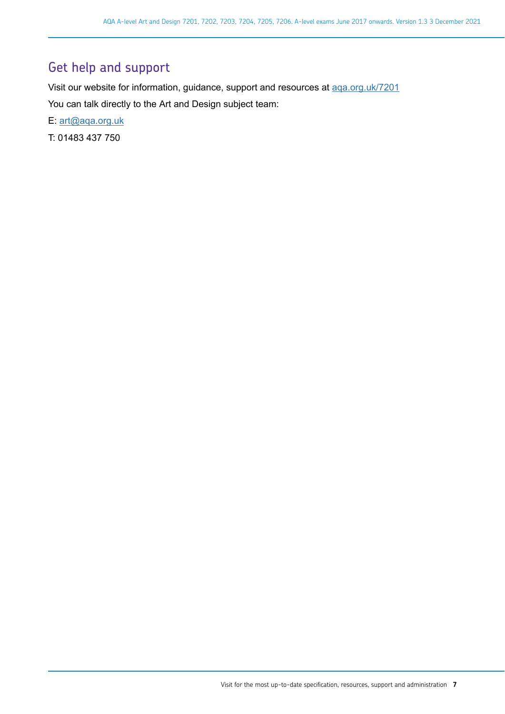### Get help and support

Visit our website for information, guidance, support and resources at [aqa.org.uk/7201](https://www.aqa.org.uk/subjects/art-and-design/as-and-a-level/art-and-design-7201) You can talk directly to the Art and Design subject team:

E: [art@aqa.org.uk](mailto:art@aqa.org.uk)

T: 01483 437 750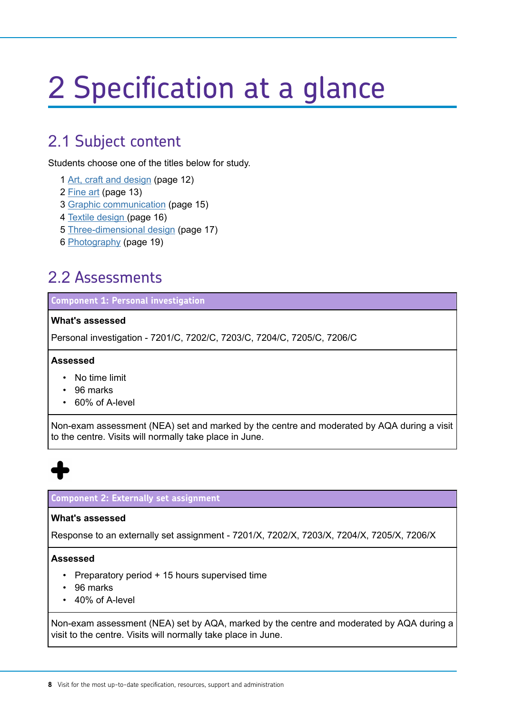# <span id="page-7-0"></span>2 Specification at a glance

## 2.1 Subject content

Students choose one of the titles below for study.

- 1 [Art, craft and design](#page-11-0) (page 12)
- 2 [Fine art](#page-12-0) (page 13)
- 3 [Graphic communication](#page-14-0) (page 15)
- 4 [Textile design \(](#page-15-0)page 16)
- 5 [Three-dimensional design](#page-16-0) (page 17)
- 6 [Photography](#page-18-0) (page 19)

## 2.2 Assessments

**Component 1: Personal investigation**

#### **What's assessed**

Personal investigation - 7201/C, 7202/C, 7203/C, 7204/C, 7205/C, 7206/C

#### **Assessed**

- No time limit
- 96 marks
- 60% of A-level

Non-exam assessment (NEA) set and marked by the centre and moderated by AQA during a visit to the centre. Visits will normally take place in June.



#### **Component 2: Externally set assignment**

#### **What's assessed**

Response to an externally set assignment - 7201/X, 7202/X, 7203/X, 7204/X, 7205/X, 7206/X

#### **Assessed**

- Preparatory period + 15 hours supervised time
- 96 marks
- 40% of A-level

Non-exam assessment (NEA) set by AQA, marked by the centre and moderated by AQA during a visit to the centre. Visits will normally take place in June.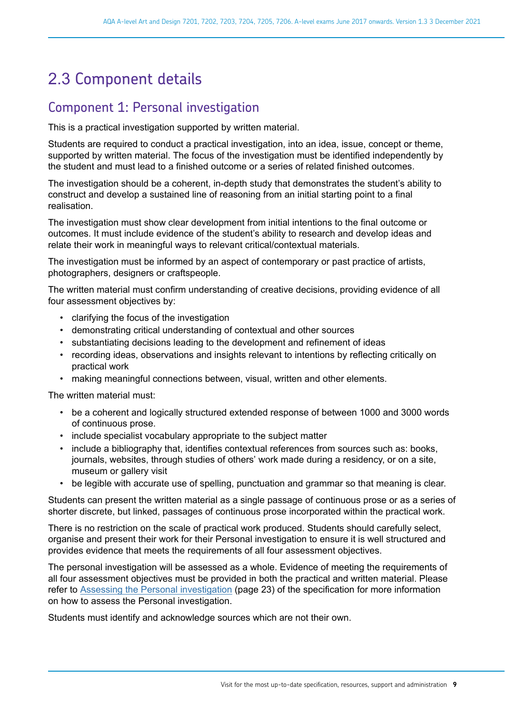# <span id="page-8-0"></span>2.3 Component details

#### Component 1: Personal investigation

This is a practical investigation supported by written material.

Students are required to conduct a practical investigation, into an idea, issue, concept or theme, supported by written material. The focus of the investigation must be identified independently by the student and must lead to a finished outcome or a series of related finished outcomes.

The investigation should be a coherent, in-depth study that demonstrates the student's ability to construct and develop a sustained line of reasoning from an initial starting point to a final realisation.

The investigation must show clear development from initial intentions to the final outcome or outcomes. It must include evidence of the student's ability to research and develop ideas and relate their work in meaningful ways to relevant critical/contextual materials.

The investigation must be informed by an aspect of contemporary or past practice of artists, photographers, designers or craftspeople.

The written material must confirm understanding of creative decisions, providing evidence of all four assessment objectives by:

- clarifying the focus of the investigation
- demonstrating critical understanding of contextual and other sources
- substantiating decisions leading to the development and refinement of ideas
- recording ideas, observations and insights relevant to intentions by reflecting critically on practical work
- making meaningful connections between, visual, written and other elements.

The written material must:

- be a coherent and logically structured extended response of between 1000 and 3000 words of continuous prose.
- include specialist vocabulary appropriate to the subject matter
- include a bibliography that, identifies contextual references from sources such as: books, journals, websites, through studies of others' work made during a residency, or on a site, museum or gallery visit
- be legible with accurate use of spelling, punctuation and grammar so that meaning is clear.

Students can present the written material as a single passage of continuous prose or as a series of shorter discrete, but linked, passages of continuous prose incorporated within the practical work.

There is no restriction on the scale of practical work produced. Students should carefully select, organise and present their work for their Personal investigation to ensure it is well structured and provides evidence that meets the requirements of all four assessment objectives.

The personal investigation will be assessed as a whole. Evidence of meeting the requirements of all four assessment objectives must be provided in both the practical and written material. Please refer to [Assessing the Personal investigation](#page-22-0) (page 23) of the specification for more information on how to assess the Personal investigation.

Students must identify and acknowledge sources which are not their own.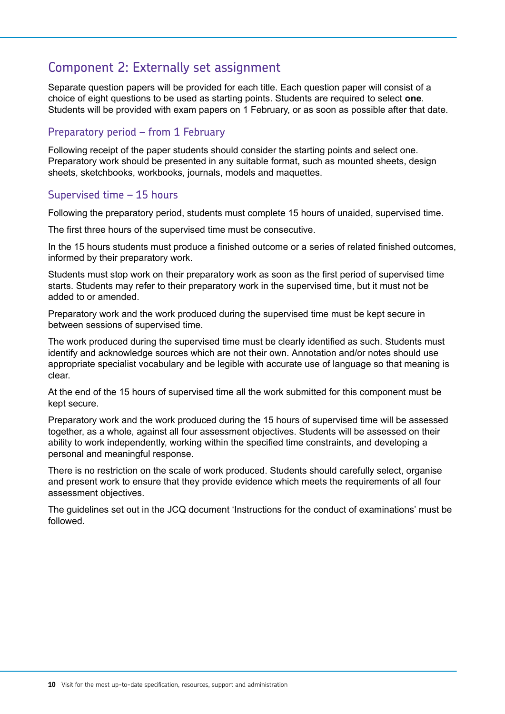#### Component 2: Externally set assignment

Separate question papers will be provided for each title. Each question paper will consist of a choice of eight questions to be used as starting points. Students are required to select **one**. Students will be provided with exam papers on 1 February, or as soon as possible after that date.

#### Preparatory period – from 1 February

Following receipt of the paper students should consider the starting points and select one. Preparatory work should be presented in any suitable format, such as mounted sheets, design sheets, sketchbooks, workbooks, journals, models and maquettes.

#### Supervised time – 15 hours

Following the preparatory period, students must complete 15 hours of unaided, supervised time.

The first three hours of the supervised time must be consecutive.

In the 15 hours students must produce a finished outcome or a series of related finished outcomes, informed by their preparatory work.

Students must stop work on their preparatory work as soon as the first period of supervised time starts. Students may refer to their preparatory work in the supervised time, but it must not be added to or amended.

Preparatory work and the work produced during the supervised time must be kept secure in between sessions of supervised time.

The work produced during the supervised time must be clearly identified as such. Students must identify and acknowledge sources which are not their own. Annotation and/or notes should use appropriate specialist vocabulary and be legible with accurate use of language so that meaning is clear.

At the end of the 15 hours of supervised time all the work submitted for this component must be kept secure.

Preparatory work and the work produced during the 15 hours of supervised time will be assessed together, as a whole, against all four assessment objectives. Students will be assessed on their ability to work independently, working within the specified time constraints, and developing a personal and meaningful response.

There is no restriction on the scale of work produced. Students should carefully select, organise and present work to ensure that they provide evidence which meets the requirements of all four assessment objectives.

The guidelines set out in the JCQ document 'Instructions for the conduct of examinations' must be followed.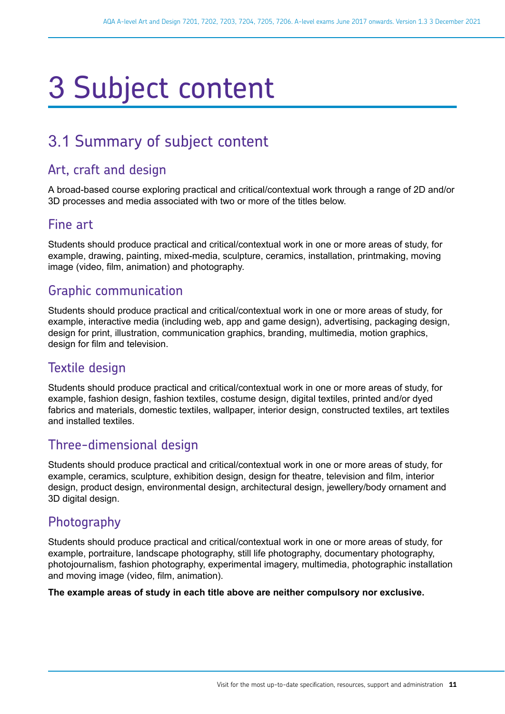# <span id="page-10-0"></span>3 Subject content

# 3.1 Summary of subject content

#### Art, craft and design

A broad-based course exploring practical and critical/contextual work through a range of 2D and/or 3D processes and media associated with two or more of the titles below.

#### Fine art

Students should produce practical and critical/contextual work in one or more areas of study, for example, drawing, painting, mixed-media, sculpture, ceramics, installation, printmaking, moving image (video, film, animation) and photography.

#### Graphic communication

Students should produce practical and critical/contextual work in one or more areas of study, for example, interactive media (including web, app and game design), advertising, packaging design, design for print, illustration, communication graphics, branding, multimedia, motion graphics, design for film and television.

#### Textile design

Students should produce practical and critical/contextual work in one or more areas of study, for example, fashion design, fashion textiles, costume design, digital textiles, printed and/or dyed fabrics and materials, domestic textiles, wallpaper, interior design, constructed textiles, art textiles and installed textiles.

#### Three-dimensional design

Students should produce practical and critical/contextual work in one or more areas of study, for example, ceramics, sculpture, exhibition design, design for theatre, television and film, interior design, product design, environmental design, architectural design, jewellery/body ornament and 3D digital design.

#### Photography

Students should produce practical and critical/contextual work in one or more areas of study, for example, portraiture, landscape photography, still life photography, documentary photography, photojournalism, fashion photography, experimental imagery, multimedia, photographic installation and moving image (video, film, animation).

#### **The example areas of study in each title above are neither compulsory nor exclusive.**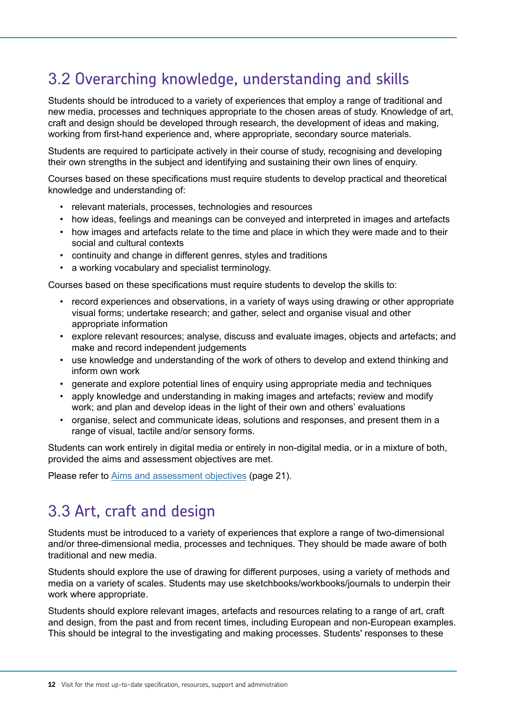# <span id="page-11-0"></span>3.2 Overarching knowledge, understanding and skills

Students should be introduced to a variety of experiences that employ a range of traditional and new media, processes and techniques appropriate to the chosen areas of study. Knowledge of art, craft and design should be developed through research, the development of ideas and making, working from first-hand experience and, where appropriate, secondary source materials.

Students are required to participate actively in their course of study, recognising and developing their own strengths in the subject and identifying and sustaining their own lines of enquiry.

Courses based on these specifications must require students to develop practical and theoretical knowledge and understanding of:

- relevant materials, processes, technologies and resources
- how ideas, feelings and meanings can be conveyed and interpreted in images and artefacts
- how images and artefacts relate to the time and place in which they were made and to their social and cultural contexts
- continuity and change in different genres, styles and traditions
- a working vocabulary and specialist terminology.

Courses based on these specifications must require students to develop the skills to:

- record experiences and observations, in a variety of ways using drawing or other appropriate visual forms; undertake research; and gather, select and organise visual and other appropriate information
- explore relevant resources; analyse, discuss and evaluate images, objects and artefacts; and make and record independent judgements
- use knowledge and understanding of the work of others to develop and extend thinking and inform own work
- generate and explore potential lines of enquiry using appropriate media and techniques
- apply knowledge and understanding in making images and artefacts; review and modify work; and plan and develop ideas in the light of their own and others' evaluations
- organise, select and communicate ideas, solutions and responses, and present them in a range of visual, tactile and/or sensory forms.

Students can work entirely in digital media or entirely in non-digital media, or in a mixture of both, provided the aims and assessment objectives are met.

Please refer to [Aims and assessment objectives](#page-20-0) (page 21).

# 3.3 Art, craft and design

Students must be introduced to a variety of experiences that explore a range of two-dimensional and/or three-dimensional media, processes and techniques. They should be made aware of both traditional and new media.

Students should explore the use of drawing for different purposes, using a variety of methods and media on a variety of scales. Students may use sketchbooks/workbooks/journals to underpin their work where appropriate.

Students should explore relevant images, artefacts and resources relating to a range of art, craft and design, from the past and from recent times, including European and non-European examples. This should be integral to the investigating and making processes. Students' responses to these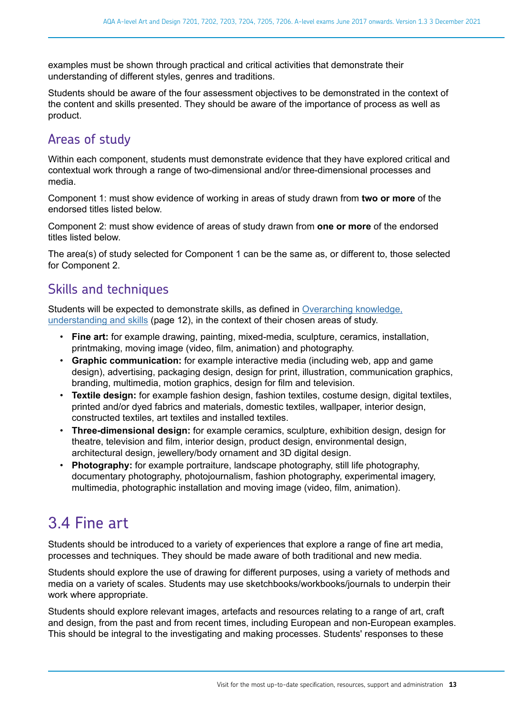<span id="page-12-0"></span>examples must be shown through practical and critical activities that demonstrate their understanding of different styles, genres and traditions.

Students should be aware of the four assessment objectives to be demonstrated in the context of the content and skills presented. They should be aware of the importance of process as well as product.

### Areas of study

Within each component, students must demonstrate evidence that they have explored critical and contextual work through a range of two-dimensional and/or three-dimensional processes and media.

Component 1: must show evidence of working in areas of study drawn from **two or more** of the endorsed titles listed below.

Component 2: must show evidence of areas of study drawn from **one or more** of the endorsed titles listed below.

The area(s) of study selected for Component 1 can be the same as, or different to, those selected for Component 2.

#### Skills and techniques

Students will be expected to demonstrate skills, as defined in [Overarching knowledge,](#page-11-0) [understanding and skills](#page-11-0) (page 12), in the context of their chosen areas of study.

- **Fine art:** for example drawing, painting, mixed-media, sculpture, ceramics, installation, printmaking, moving image (video, film, animation) and photography.
- **Graphic communication:** for example interactive media (including web, app and game design), advertising, packaging design, design for print, illustration, communication graphics, branding, multimedia, motion graphics, design for film and television.
- **Textile design:** for example fashion design, fashion textiles, costume design, digital textiles, printed and/or dyed fabrics and materials, domestic textiles, wallpaper, interior design, constructed textiles, art textiles and installed textiles.
- **Three-dimensional design:** for example ceramics, sculpture, exhibition design, design for theatre, television and film, interior design, product design, environmental design, architectural design, jewellery/body ornament and 3D digital design.
- **Photography:** for example portraiture, landscape photography, still life photography, documentary photography, photojournalism, fashion photography, experimental imagery, multimedia, photographic installation and moving image (video, film, animation).

# 3.4 Fine art

Students should be introduced to a variety of experiences that explore a range of fine art media, processes and techniques. They should be made aware of both traditional and new media.

Students should explore the use of drawing for different purposes, using a variety of methods and media on a variety of scales. Students may use sketchbooks/workbooks/journals to underpin their work where appropriate.

Students should explore relevant images, artefacts and resources relating to a range of art, craft and design, from the past and from recent times, including European and non-European examples. This should be integral to the investigating and making processes. Students' responses to these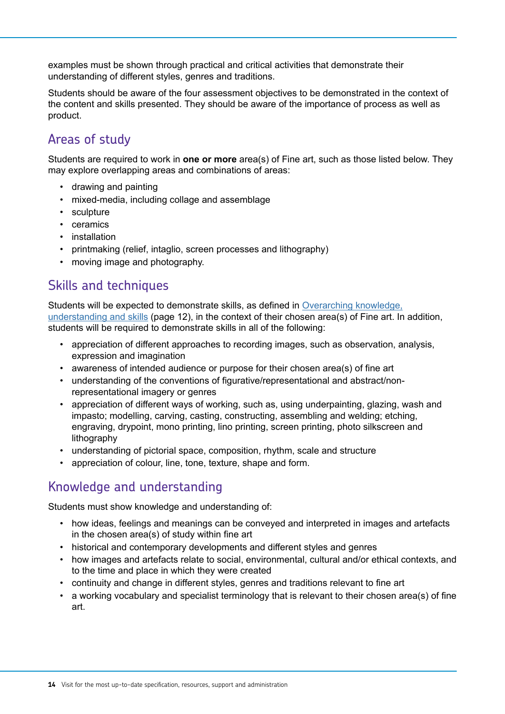examples must be shown through practical and critical activities that demonstrate their understanding of different styles, genres and traditions.

Students should be aware of the four assessment objectives to be demonstrated in the context of the content and skills presented. They should be aware of the importance of process as well as product.

## Areas of study

Students are required to work in **one or more** area(s) of Fine art, such as those listed below. They may explore overlapping areas and combinations of areas:

- drawing and painting
- mixed-media, including collage and assemblage
- sculpture
- ceramics
- installation
- printmaking (relief, intaglio, screen processes and lithography)
- moving image and photography.

#### Skills and techniques

Students will be expected to demonstrate skills, as defined in [Overarching knowledge,](#page-11-0) [understanding and skills](#page-11-0) (page 12), in the context of their chosen area(s) of Fine art. In addition, students will be required to demonstrate skills in all of the following:

- appreciation of different approaches to recording images, such as observation, analysis, expression and imagination
- awareness of intended audience or purpose for their chosen area(s) of fine art
- understanding of the conventions of figurative/representational and abstract/nonrepresentational imagery or genres
- appreciation of different ways of working, such as, using underpainting, glazing, wash and impasto; modelling, carving, casting, constructing, assembling and welding; etching, engraving, drypoint, mono printing, lino printing, screen printing, photo silkscreen and lithography
- understanding of pictorial space, composition, rhythm, scale and structure
- appreciation of colour, line, tone, texture, shape and form.

#### Knowledge and understanding

Students must show knowledge and understanding of:

- how ideas, feelings and meanings can be conveyed and interpreted in images and artefacts in the chosen area(s) of study within fine art
- historical and contemporary developments and different styles and genres
- how images and artefacts relate to social, environmental, cultural and/or ethical contexts, and to the time and place in which they were created
- continuity and change in different styles, genres and traditions relevant to fine art
- a working vocabulary and specialist terminology that is relevant to their chosen area(s) of fine art.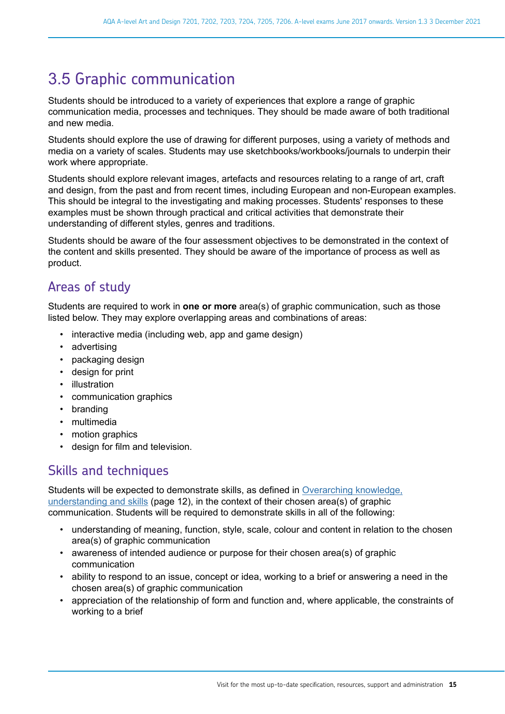# <span id="page-14-0"></span>3.5 Graphic communication

Students should be introduced to a variety of experiences that explore a range of graphic communication media, processes and techniques. They should be made aware of both traditional and new media.

Students should explore the use of drawing for different purposes, using a variety of methods and media on a variety of scales. Students may use sketchbooks/workbooks/journals to underpin their work where appropriate.

Students should explore relevant images, artefacts and resources relating to a range of art, craft and design, from the past and from recent times, including European and non-European examples. This should be integral to the investigating and making processes. Students' responses to these examples must be shown through practical and critical activities that demonstrate their understanding of different styles, genres and traditions.

Students should be aware of the four assessment objectives to be demonstrated in the context of the content and skills presented. They should be aware of the importance of process as well as product.

## Areas of study

Students are required to work in **one or more** area(s) of graphic communication, such as those listed below. They may explore overlapping areas and combinations of areas:

- interactive media (including web, app and game design)
- advertising
- packaging design
- design for print
- illustration
- communication graphics
- branding
- multimedia
- motion graphics
- design for film and television.

#### Skills and techniques

Students will be expected to demonstrate skills, as defined in [Overarching knowledge,](#page-11-0) [understanding and skills](#page-11-0) (page 12), in the context of their chosen area(s) of graphic communication. Students will be required to demonstrate skills in all of the following:

- understanding of meaning, function, style, scale, colour and content in relation to the chosen area(s) of graphic communication
- awareness of intended audience or purpose for their chosen area(s) of graphic communication
- ability to respond to an issue, concept or idea, working to a brief or answering a need in the chosen area(s) of graphic communication
- appreciation of the relationship of form and function and, where applicable, the constraints of working to a brief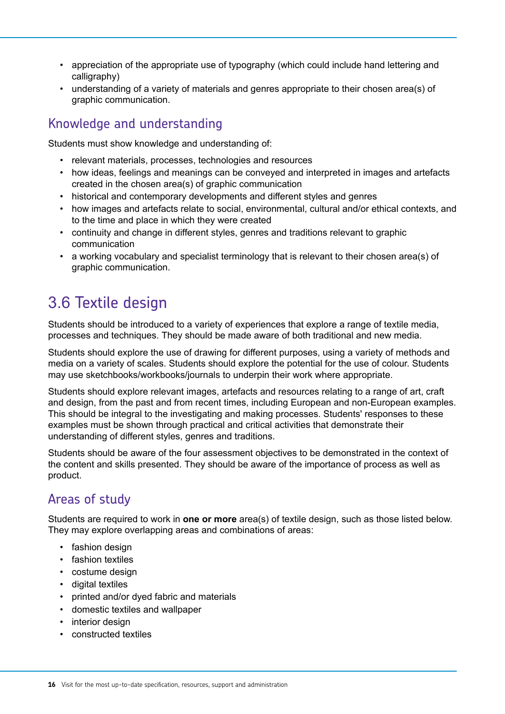- <span id="page-15-0"></span>• appreciation of the appropriate use of typography (which could include hand lettering and calligraphy)
- understanding of a variety of materials and genres appropriate to their chosen area(s) of graphic communication.

### Knowledge and understanding

Students must show knowledge and understanding of:

- relevant materials, processes, technologies and resources
- how ideas, feelings and meanings can be conveyed and interpreted in images and artefacts created in the chosen area(s) of graphic communication
- historical and contemporary developments and different styles and genres
- how images and artefacts relate to social, environmental, cultural and/or ethical contexts, and to the time and place in which they were created
- continuity and change in different styles, genres and traditions relevant to graphic communication
- a working vocabulary and specialist terminology that is relevant to their chosen area(s) of graphic communication.

# 3.6 Textile design

Students should be introduced to a variety of experiences that explore a range of textile media, processes and techniques. They should be made aware of both traditional and new media.

Students should explore the use of drawing for different purposes, using a variety of methods and media on a variety of scales. Students should explore the potential for the use of colour. Students may use sketchbooks/workbooks/journals to underpin their work where appropriate.

Students should explore relevant images, artefacts and resources relating to a range of art, craft and design, from the past and from recent times, including European and non-European examples. This should be integral to the investigating and making processes. Students' responses to these examples must be shown through practical and critical activities that demonstrate their understanding of different styles, genres and traditions.

Students should be aware of the four assessment objectives to be demonstrated in the context of the content and skills presented. They should be aware of the importance of process as well as product.

## Areas of study

Students are required to work in **one or more** area(s) of textile design, such as those listed below. They may explore overlapping areas and combinations of areas:

- fashion design
- fashion textiles
- costume design
- digital textiles
- printed and/or dyed fabric and materials
- domestic textiles and wallpaper
- interior design
- constructed textiles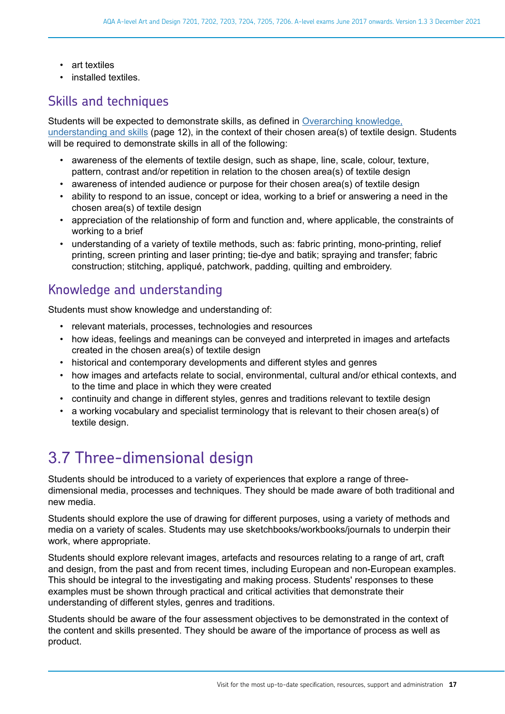- <span id="page-16-0"></span>• art textiles
- installed textiles.

#### Skills and techniques

Students will be expected to demonstrate skills, as defined in [Overarching knowledge,](#page-11-0) [understanding and skills](#page-11-0) (page 12), in the context of their chosen area(s) of textile design. Students will be required to demonstrate skills in all of the following:

- awareness of the elements of textile design, such as shape, line, scale, colour, texture, pattern, contrast and/or repetition in relation to the chosen area(s) of textile design
- awareness of intended audience or purpose for their chosen area(s) of textile design
- ability to respond to an issue, concept or idea, working to a brief or answering a need in the chosen area(s) of textile design
- appreciation of the relationship of form and function and, where applicable, the constraints of working to a brief
- understanding of a variety of textile methods, such as: fabric printing, mono-printing, relief printing, screen printing and laser printing; tie-dye and batik; spraying and transfer; fabric construction; stitching, appliqué, patchwork, padding, quilting and embroidery.

#### Knowledge and understanding

Students must show knowledge and understanding of:

- relevant materials, processes, technologies and resources
- how ideas, feelings and meanings can be conveyed and interpreted in images and artefacts created in the chosen area(s) of textile design
- historical and contemporary developments and different styles and genres
- how images and artefacts relate to social, environmental, cultural and/or ethical contexts, and to the time and place in which they were created
- continuity and change in different styles, genres and traditions relevant to textile design
- a working vocabulary and specialist terminology that is relevant to their chosen area(s) of textile design.

# 3.7 Three-dimensional design

Students should be introduced to a variety of experiences that explore a range of threedimensional media, processes and techniques. They should be made aware of both traditional and new media.

Students should explore the use of drawing for different purposes, using a variety of methods and media on a variety of scales. Students may use sketchbooks/workbooks/journals to underpin their work, where appropriate.

Students should explore relevant images, artefacts and resources relating to a range of art, craft and design, from the past and from recent times, including European and non-European examples. This should be integral to the investigating and making process. Students' responses to these examples must be shown through practical and critical activities that demonstrate their understanding of different styles, genres and traditions.

Students should be aware of the four assessment objectives to be demonstrated in the context of the content and skills presented. They should be aware of the importance of process as well as product.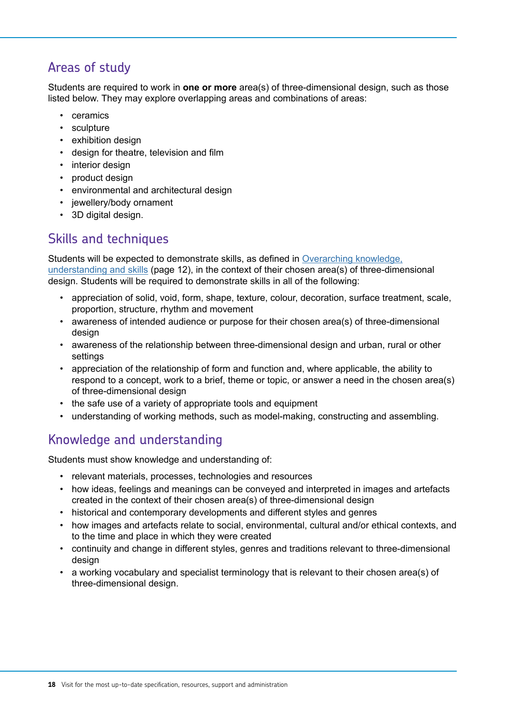#### Areas of study

Students are required to work in **one or more** area(s) of three-dimensional design, such as those listed below. They may explore overlapping areas and combinations of areas:

- ceramics
- sculpture
- exhibition design
- design for theatre, television and film
- interior design
- product design
- environmental and architectural design
- jewellery/body ornament
- 3D digital design.

### Skills and techniques

Students will be expected to demonstrate skills, as defined in [Overarching knowledge,](#page-11-0) [understanding and skills](#page-11-0) (page 12), in the context of their chosen area(s) of three-dimensional design. Students will be required to demonstrate skills in all of the following:

- appreciation of solid, void, form, shape, texture, colour, decoration, surface treatment, scale, proportion, structure, rhythm and movement
- awareness of intended audience or purpose for their chosen area(s) of three-dimensional design
- awareness of the relationship between three-dimensional design and urban, rural or other settings
- appreciation of the relationship of form and function and, where applicable, the ability to respond to a concept, work to a brief, theme or topic, or answer a need in the chosen area(s) of three-dimensional design
- the safe use of a variety of appropriate tools and equipment
- understanding of working methods, such as model-making, constructing and assembling.

## Knowledge and understanding

Students must show knowledge and understanding of:

- relevant materials, processes, technologies and resources
- how ideas, feelings and meanings can be conveyed and interpreted in images and artefacts created in the context of their chosen area(s) of three-dimensional design
- historical and contemporary developments and different styles and genres
- how images and artefacts relate to social, environmental, cultural and/or ethical contexts, and to the time and place in which they were created
- continuity and change in different styles, genres and traditions relevant to three-dimensional design
- a working vocabulary and specialist terminology that is relevant to their chosen area(s) of three-dimensional design.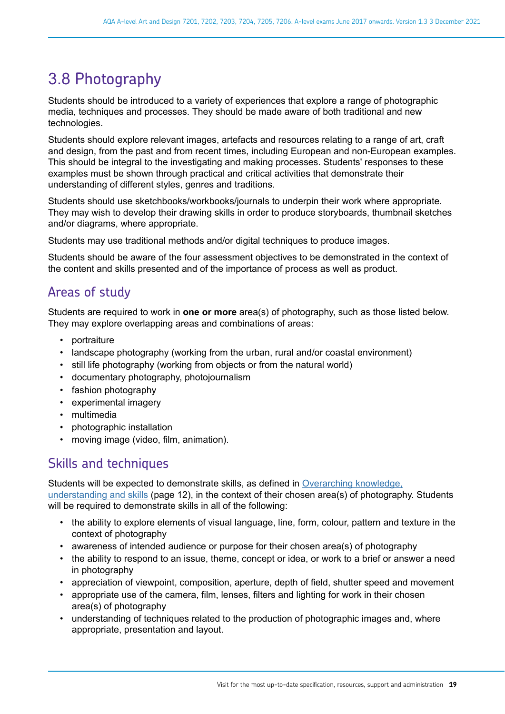# <span id="page-18-0"></span>3.8 Photography

Students should be introduced to a variety of experiences that explore a range of photographic media, techniques and processes. They should be made aware of both traditional and new technologies.

Students should explore relevant images, artefacts and resources relating to a range of art, craft and design, from the past and from recent times, including European and non-European examples. This should be integral to the investigating and making processes. Students' responses to these examples must be shown through practical and critical activities that demonstrate their understanding of different styles, genres and traditions.

Students should use sketchbooks/workbooks/journals to underpin their work where appropriate. They may wish to develop their drawing skills in order to produce storyboards, thumbnail sketches and/or diagrams, where appropriate.

Students may use traditional methods and/or digital techniques to produce images.

Students should be aware of the four assessment objectives to be demonstrated in the context of the content and skills presented and of the importance of process as well as product.

#### Areas of study

Students are required to work in **one or more** area(s) of photography, such as those listed below. They may explore overlapping areas and combinations of areas:

- portraiture
- landscape photography (working from the urban, rural and/or coastal environment)
- still life photography (working from objects or from the natural world)
- documentary photography, photojournalism
- fashion photography
- experimental imagery
- multimedia
- photographic installation
- moving image (video, film, animation).

#### Skills and techniques

Students will be expected to demonstrate skills, as defined in [Overarching knowledge,](#page-11-0) [understanding and skills](#page-11-0) (page 12), in the context of their chosen area(s) of photography. Students will be required to demonstrate skills in all of the following:

- the ability to explore elements of visual language, line, form, colour, pattern and texture in the context of photography
- awareness of intended audience or purpose for their chosen area(s) of photography
- the ability to respond to an issue, theme, concept or idea, or work to a brief or answer a need in photography
- appreciation of viewpoint, composition, aperture, depth of field, shutter speed and movement
- appropriate use of the camera, film, lenses, filters and lighting for work in their chosen area(s) of photography
- understanding of techniques related to the production of photographic images and, where appropriate, presentation and layout.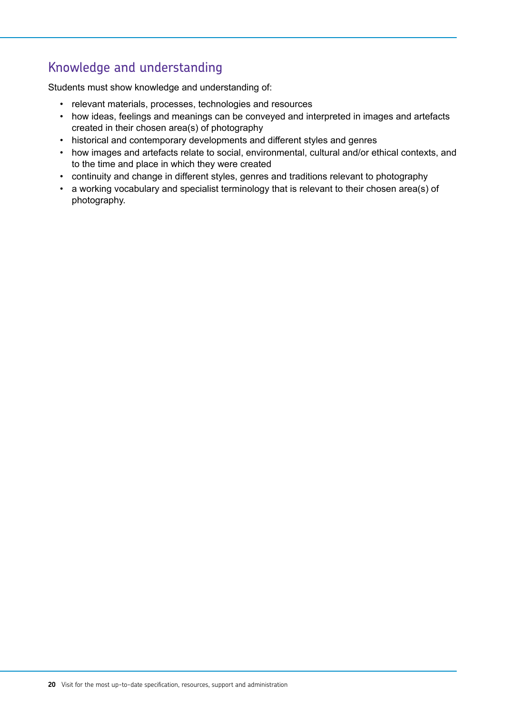## Knowledge and understanding

Students must show knowledge and understanding of:

- relevant materials, processes, technologies and resources
- how ideas, feelings and meanings can be conveyed and interpreted in images and artefacts created in their chosen area(s) of photography
- historical and contemporary developments and different styles and genres
- how images and artefacts relate to social, environmental, cultural and/or ethical contexts, and to the time and place in which they were created
- continuity and change in different styles, genres and traditions relevant to photography
- a working vocabulary and specialist terminology that is relevant to their chosen area(s) of photography.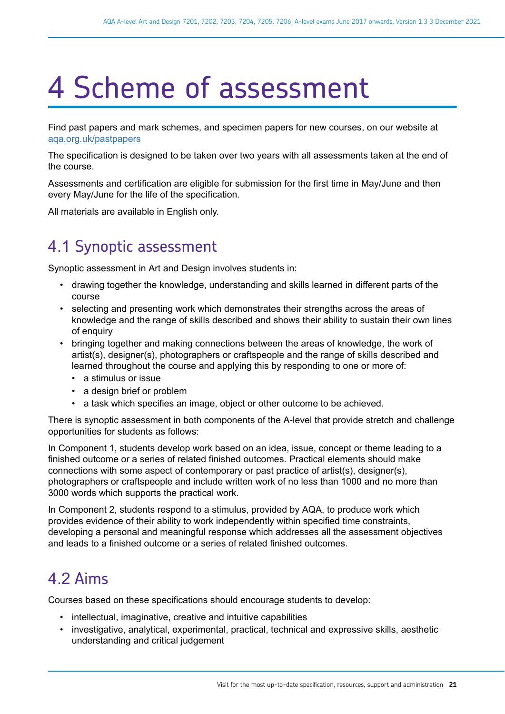# <span id="page-20-0"></span>4 Scheme of assessment

Find past papers and mark schemes, and specimen papers for new courses, on our website at [aqa.org.uk/pastpapers](http://www.aqa.org.uk/pastpapers)

The specification is designed to be taken over two years with all assessments taken at the end of the course.

Assessments and certification are eligible for submission for the first time in May/June and then every May/June for the life of the specification.

All materials are available in English only.

# 4.1 Synoptic assessment

Synoptic assessment in Art and Design involves students in:

- drawing together the knowledge, understanding and skills learned in different parts of the course
- selecting and presenting work which demonstrates their strengths across the areas of knowledge and the range of skills described and shows their ability to sustain their own lines of enquiry
- bringing together and making connections between the areas of knowledge, the work of artist(s), designer(s), photographers or craftspeople and the range of skills described and learned throughout the course and applying this by responding to one or more of:
	- a stimulus or issue
	- a design brief or problem
	- a task which specifies an image, object or other outcome to be achieved.

There is synoptic assessment in both components of the A-level that provide stretch and challenge opportunities for students as follows:

In Component 1, students develop work based on an idea, issue, concept or theme leading to a finished outcome or a series of related finished outcomes. Practical elements should make connections with some aspect of contemporary or past practice of artist(s), designer(s), photographers or craftspeople and include written work of no less than 1000 and no more than 3000 words which supports the practical work.

In Component 2, students respond to a stimulus, provided by AQA, to produce work which provides evidence of their ability to work independently within specified time constraints, developing a personal and meaningful response which addresses all the assessment objectives and leads to a finished outcome or a series of related finished outcomes.

# 4.2 Aims

Courses based on these specifications should encourage students to develop:

- intellectual, imaginative, creative and intuitive capabilities
- investigative, analytical, experimental, practical, technical and expressive skills, aesthetic understanding and critical judgement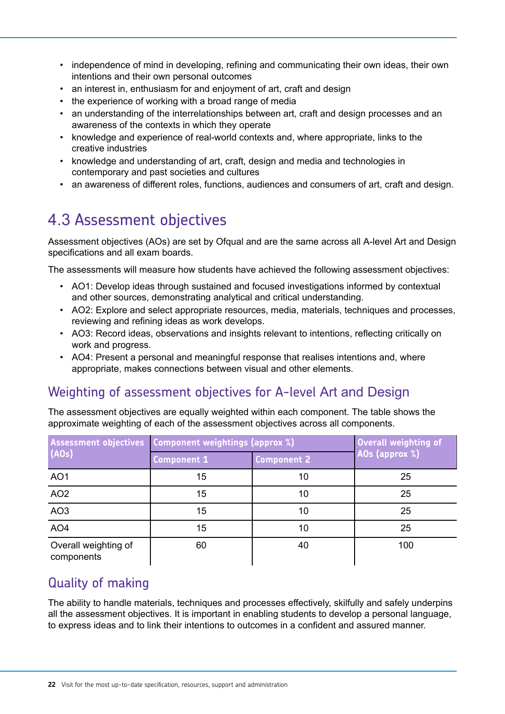- <span id="page-21-0"></span>independence of mind in developing, refining and communicating their own ideas, their own intentions and their own personal outcomes
- an interest in, enthusiasm for and enjoyment of art, craft and design
- the experience of working with a broad range of media
- an understanding of the interrelationships between art, craft and design processes and an awareness of the contexts in which they operate
- knowledge and experience of real-world contexts and, where appropriate, links to the creative industries
- knowledge and understanding of art, craft, design and media and technologies in contemporary and past societies and cultures
- an awareness of different roles, functions, audiences and consumers of art, craft and design.

# 4.3 Assessment objectives

Assessment objectives (AOs) are set by Ofqual and are the same across all A-level Art and Design specifications and all exam boards.

The assessments will measure how students have achieved the following assessment objectives:

- AO1: Develop ideas through sustained and focused investigations informed by contextual and other sources, demonstrating analytical and critical understanding.
- AO2: Explore and select appropriate resources, media, materials, techniques and processes, reviewing and refining ideas as work develops.
- AO3: Record ideas, observations and insights relevant to intentions, reflecting critically on work and progress.
- AO4: Present a personal and meaningful response that realises intentions and, where appropriate, makes connections between visual and other elements.

## Weighting of assessment objectives for A-level Art and Design

The assessment objectives are equally weighted within each component. The table shows the approximate weighting of each of the assessment objectives across all components.

| Assessment objectives   Component weightings (approx %) |                    | Overall weighting of |                       |
|---------------------------------------------------------|--------------------|----------------------|-----------------------|
| (AOS)                                                   | <b>Component 1</b> | <b>Component 2</b>   | <b>AOs (approx %)</b> |
| AO <sub>1</sub>                                         | 15                 | 10                   | 25                    |
| AO <sub>2</sub>                                         | 15                 | 10                   | 25                    |
| AO <sub>3</sub>                                         | 15                 | 10                   | 25                    |
| AO <sub>4</sub>                                         | 15                 | 10                   | 25                    |
| Overall weighting of<br>components                      | 60                 | 40                   | 100                   |

## Quality of making

The ability to handle materials, techniques and processes effectively, skilfully and safely underpins all the assessment objectives. It is important in enabling students to develop a personal language, to express ideas and to link their intentions to outcomes in a confident and assured manner.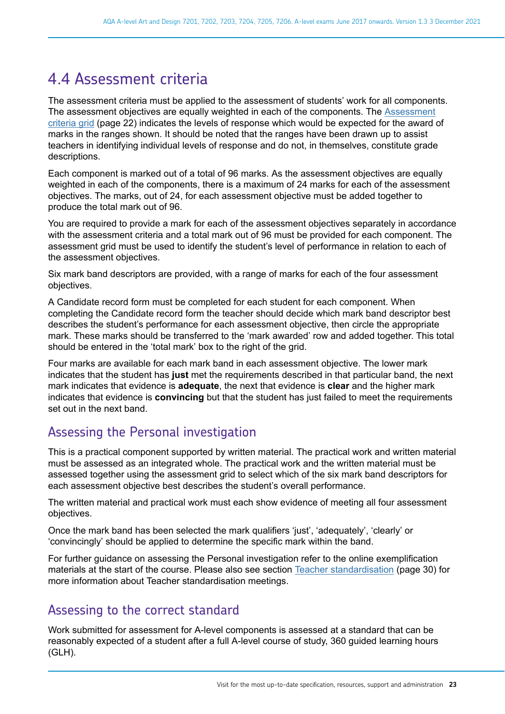## <span id="page-22-0"></span>4.4 Assessment criteria

The assessment criteria must be applied to the assessment of students' work for all components. The assessment objectives are equally weighted in each of the components. The [Assessment](#page-21-0) [criteria grid](#page-21-0) (page 22) indicates the levels of response which would be expected for the award of marks in the ranges shown. It should be noted that the ranges have been drawn up to assist teachers in identifying individual levels of response and do not, in themselves, constitute grade descriptions.

Each component is marked out of a total of 96 marks. As the assessment objectives are equally weighted in each of the components, there is a maximum of 24 marks for each of the assessment objectives. The marks, out of 24, for each assessment objective must be added together to produce the total mark out of 96.

You are required to provide a mark for each of the assessment objectives separately in accordance with the assessment criteria and a total mark out of 96 must be provided for each component. The assessment grid must be used to identify the student's level of performance in relation to each of the assessment objectives.

Six mark band descriptors are provided, with a range of marks for each of the four assessment objectives.

A Candidate record form must be completed for each student for each component. When completing the Candidate record form the teacher should decide which mark band descriptor best describes the student's performance for each assessment objective, then circle the appropriate mark. These marks should be transferred to the 'mark awarded' row and added together. This total should be entered in the 'total mark' box to the right of the grid.

Four marks are available for each mark band in each assessment objective. The lower mark indicates that the student has **just** met the requirements described in that particular band, the next mark indicates that evidence is **adequate**, the next that evidence is **clear** and the higher mark indicates that evidence is **convincing** but that the student has just failed to meet the requirements set out in the next band.

#### Assessing the Personal investigation

This is a practical component supported by written material. The practical work and written material must be assessed as an integrated whole. The practical work and the written material must be assessed together using the assessment grid to select which of the six mark band descriptors for each assessment objective best describes the student's overall performance.

The written material and practical work must each show evidence of meeting all four assessment objectives.

Once the mark band has been selected the mark qualifiers 'just', 'adequately', 'clearly' or 'convincingly' should be applied to determine the specific mark within the band.

For further guidance on assessing the Personal investigation refer to the online exemplification materials at the start of the course. Please also see section [Teacher standardisation](#page-29-0) (page 30) for more information about Teacher standardisation meetings.

#### Assessing to the correct standard

Work submitted for assessment for A-level components is assessed at a standard that can be reasonably expected of a student after a full A-level course of study, 360 guided learning hours (GLH).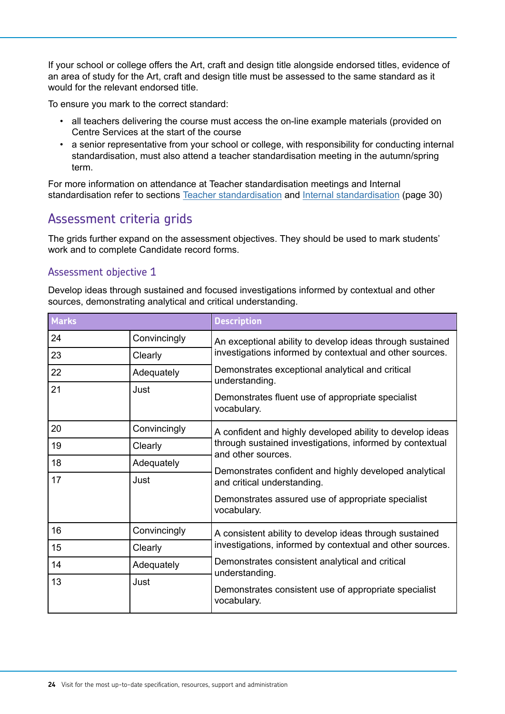If your school or college offers the Art, craft and design title alongside endorsed titles, evidence of an area of study for the Art, craft and design title must be assessed to the same standard as it would for the relevant endorsed title.

To ensure you mark to the correct standard:

- all teachers delivering the course must access the on-line example materials (provided on Centre Services at the start of the course
- a senior representative from your school or college, with responsibility for conducting internal standardisation, must also attend a teacher standardisation meeting in the autumn/spring term.

For more information on attendance at Teacher standardisation meetings and Internal standardisation refer to sections [Teacher standardisation](https://www.aqa.org.uk/exams-administration/coursework-controlled-assessment-nea/standardisation/face-to-face) and [Internal standardisation](#page-29-0) (page 30)

#### Assessment criteria grids

The grids further expand on the assessment objectives. They should be used to mark students' work and to complete Candidate record forms.

#### Assessment objective 1

Develop ideas through sustained and focused investigations informed by contextual and other sources, demonstrating analytical and critical understanding.

| <b>Marks</b> |              | <b>Description</b>                                                             |  |
|--------------|--------------|--------------------------------------------------------------------------------|--|
| 24           | Convincingly | An exceptional ability to develop ideas through sustained                      |  |
| 23           | Clearly      | investigations informed by contextual and other sources.                       |  |
| 22           | Adequately   | Demonstrates exceptional analytical and critical<br>understanding.             |  |
| 21           | Just         | Demonstrates fluent use of appropriate specialist<br>vocabulary.               |  |
| 20           | Convincingly | A confident and highly developed ability to develop ideas                      |  |
| 19           | Clearly      | through sustained investigations, informed by contextual<br>and other sources. |  |
| 18           | Adequately   | Demonstrates confident and highly developed analytical                         |  |
| 17           | Just         | and critical understanding.                                                    |  |
|              |              | Demonstrates assured use of appropriate specialist<br>vocabulary.              |  |
| 16           | Convincingly | A consistent ability to develop ideas through sustained                        |  |
| 15           | Clearly      | investigations, informed by contextual and other sources.                      |  |
| 14           | Adequately   | Demonstrates consistent analytical and critical<br>understanding.              |  |
| 13           | Just         | Demonstrates consistent use of appropriate specialist<br>vocabulary.           |  |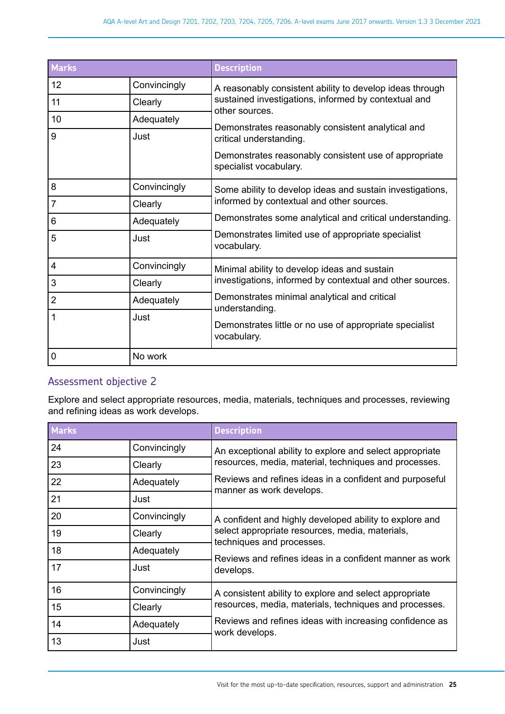| <b>Marks</b>   |              | <b>Description</b>                                                              |
|----------------|--------------|---------------------------------------------------------------------------------|
| 12             | Convincingly | A reasonably consistent ability to develop ideas through                        |
| 11             | Clearly      | sustained investigations, informed by contextual and<br>other sources.          |
| 10             | Adequately   |                                                                                 |
| 9              | Just         | Demonstrates reasonably consistent analytical and<br>critical understanding.    |
|                |              | Demonstrates reasonably consistent use of appropriate<br>specialist vocabulary. |
| 8              | Convincingly | Some ability to develop ideas and sustain investigations,                       |
| 7              | Clearly      | informed by contextual and other sources.                                       |
| 6              | Adequately   | Demonstrates some analytical and critical understanding.                        |
| 5              | Just         | Demonstrates limited use of appropriate specialist<br>vocabulary.               |
| 4              | Convincingly | Minimal ability to develop ideas and sustain                                    |
| 3              | Clearly      | investigations, informed by contextual and other sources.                       |
| $\overline{2}$ | Adequately   | Demonstrates minimal analytical and critical<br>understanding.                  |
| 1              | Just         | Demonstrates little or no use of appropriate specialist<br>vocabulary.          |
| 0              | No work      |                                                                                 |

#### Assessment objective 2

Explore and select appropriate resources, media, materials, techniques and processes, reviewing and refining ideas as work develops.

| <b>Marks</b> |              | <b>Description</b>                                                                  |
|--------------|--------------|-------------------------------------------------------------------------------------|
| 24           | Convincingly | An exceptional ability to explore and select appropriate                            |
| 23           | Clearly      | resources, media, material, techniques and processes.                               |
| 22           | Adequately   | Reviews and refines ideas in a confident and purposeful<br>manner as work develops. |
| 21           | Just         |                                                                                     |
| 20           | Convincingly | A confident and highly developed ability to explore and                             |
| 19           | Clearly      | select appropriate resources, media, materials,<br>techniques and processes.        |
| 18           | Adequately   | Reviews and refines ideas in a confident manner as work                             |
| 17           | Just         | develops.                                                                           |
| 16           | Convincingly | A consistent ability to explore and select appropriate                              |
| 15           | Clearly      | resources, media, materials, techniques and processes.                              |
| 14           | Adequately   | Reviews and refines ideas with increasing confidence as<br>work develops.           |
| 13           | Just         |                                                                                     |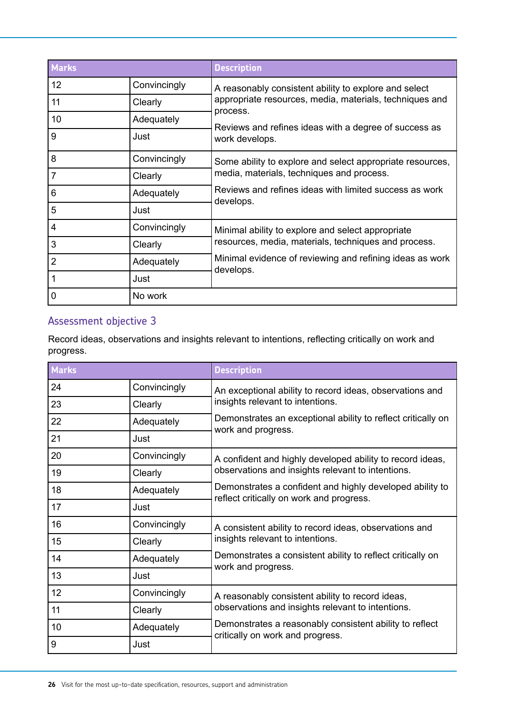| <b>Marks</b>    |              | <b>Description</b>                                                                                               |  |
|-----------------|--------------|------------------------------------------------------------------------------------------------------------------|--|
| 12 <sup>2</sup> | Convincingly | A reasonably consistent ability to explore and select                                                            |  |
| 11              | Clearly      | appropriate resources, media, materials, techniques and                                                          |  |
| 10              | Adequately   | process.                                                                                                         |  |
| 9               | Just         | Reviews and refines ideas with a degree of success as<br>work develops.                                          |  |
| 8               | Convincingly | Some ability to explore and select appropriate resources,                                                        |  |
| 7               | Clearly      | media, materials, techniques and process.<br>Reviews and refines ideas with limited success as work<br>develops. |  |
| 6               | Adequately   |                                                                                                                  |  |
| 5               | Just         |                                                                                                                  |  |
| 4               | Convincingly | Minimal ability to explore and select appropriate                                                                |  |
| 3               | Clearly      | resources, media, materials, techniques and process.                                                             |  |
| $\overline{2}$  | Adequately   | Minimal evidence of reviewing and refining ideas as work<br>develops.                                            |  |
|                 | Just         |                                                                                                                  |  |
| 0               | No work      |                                                                                                                  |  |

#### Assessment objective 3

Record ideas, observations and insights relevant to intentions, reflecting critically on work and progress.

| <b>Marks</b> |              | <b>Description</b>                                                                          |  |
|--------------|--------------|---------------------------------------------------------------------------------------------|--|
| 24           | Convincingly | An exceptional ability to record ideas, observations and                                    |  |
| 23           | Clearly      | insights relevant to intentions.                                                            |  |
| 22           | Adequately   | Demonstrates an exceptional ability to reflect critically on<br>work and progress.          |  |
| 21           | Just         |                                                                                             |  |
| 20           | Convincingly | A confident and highly developed ability to record ideas,                                   |  |
| 19           | Clearly      | observations and insights relevant to intentions.                                           |  |
| 18           | Adequately   | Demonstrates a confident and highly developed ability to                                    |  |
| 17           | Just         | reflect critically on work and progress.                                                    |  |
| 16           | Convincingly | A consistent ability to record ideas, observations and                                      |  |
| 15           | Clearly      | insights relevant to intentions.                                                            |  |
| 14           | Adequately   | Demonstrates a consistent ability to reflect critically on                                  |  |
| 13           | Just         | work and progress.                                                                          |  |
| 12           | Convincingly | A reasonably consistent ability to record ideas,                                            |  |
| 11           | Clearly      | observations and insights relevant to intentions.                                           |  |
| 10           | Adequately   | Demonstrates a reasonably consistent ability to reflect<br>critically on work and progress. |  |
| 9            | Just         |                                                                                             |  |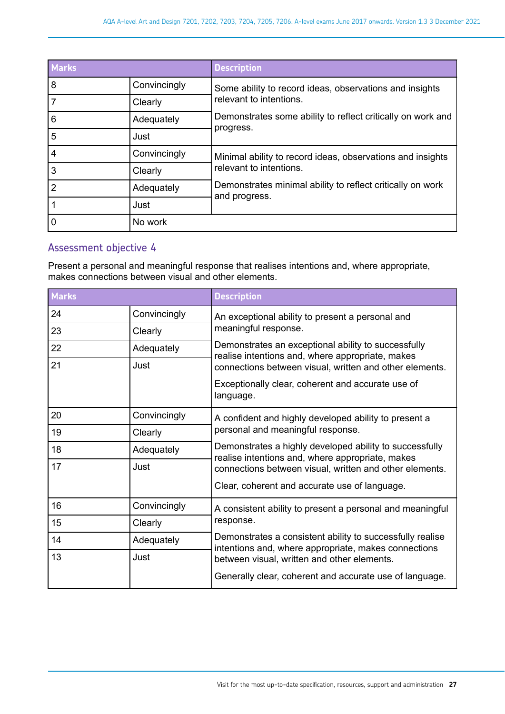| <b>Marks</b>   |              | <b>Description</b>                                                          |
|----------------|--------------|-----------------------------------------------------------------------------|
| 8              | Convincingly | Some ability to record ideas, observations and insights                     |
|                | Clearly      | relevant to intentions.                                                     |
| 6              | Adequately   | Demonstrates some ability to reflect critically on work and                 |
| 5              | Just         | progress.                                                                   |
| 4              | Convincingly | Minimal ability to record ideas, observations and insights                  |
| 3              | Clearly      | relevant to intentions.                                                     |
| $\overline{2}$ | Adequately   | Demonstrates minimal ability to reflect critically on work<br>and progress. |
|                | Just         |                                                                             |
| 0              | No work      |                                                                             |

#### Assessment objective 4

Present a personal and meaningful response that realises intentions and, where appropriate, makes connections between visual and other elements.

| <b>Marks</b> |              | <b>Description</b>                                                                                                |  |
|--------------|--------------|-------------------------------------------------------------------------------------------------------------------|--|
| 24           | Convincingly | An exceptional ability to present a personal and                                                                  |  |
| 23           | Clearly      | meaningful response.                                                                                              |  |
| 22           | Adequately   | Demonstrates an exceptional ability to successfully<br>realise intentions and, where appropriate, makes           |  |
| 21           | Just         | connections between visual, written and other elements.                                                           |  |
|              |              | Exceptionally clear, coherent and accurate use of<br>language.                                                    |  |
| 20           | Convincingly | A confident and highly developed ability to present a                                                             |  |
| 19           | Clearly      | personal and meaningful response.                                                                                 |  |
| 18           | Adequately   | Demonstrates a highly developed ability to successfully<br>realise intentions and, where appropriate, makes       |  |
| 17           | Just         | connections between visual, written and other elements.                                                           |  |
|              |              | Clear, coherent and accurate use of language.                                                                     |  |
| 16           | Convincingly | A consistent ability to present a personal and meaningful                                                         |  |
| 15           | Clearly      | response.                                                                                                         |  |
| 14           | Adequately   | Demonstrates a consistent ability to successfully realise<br>intentions and, where appropriate, makes connections |  |
| 13           | Just         | between visual, written and other elements.                                                                       |  |
|              |              | Generally clear, coherent and accurate use of language.                                                           |  |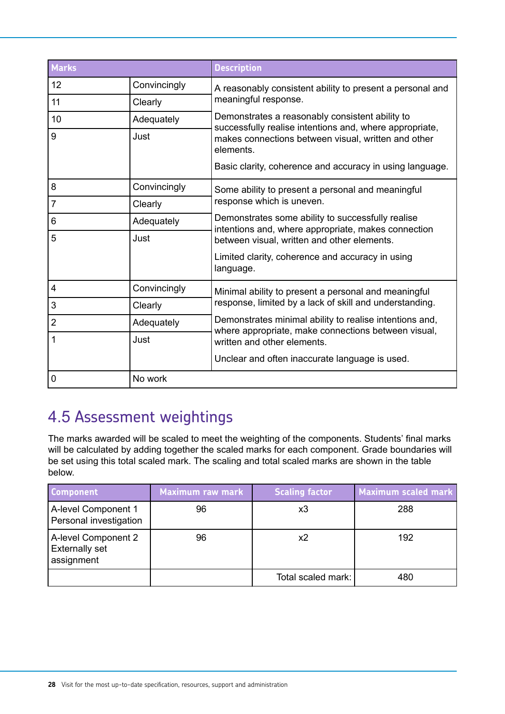<span id="page-27-0"></span>

| <b>Marks</b>   |              | <b>Description</b>                                                                                             |
|----------------|--------------|----------------------------------------------------------------------------------------------------------------|
| 12             | Convincingly | A reasonably consistent ability to present a personal and                                                      |
| 11             | Clearly      | meaningful response.                                                                                           |
| 10             | Adequately   | Demonstrates a reasonably consistent ability to<br>successfully realise intentions and, where appropriate,     |
| 9              | Just         | makes connections between visual, written and other<br>elements.                                               |
|                |              | Basic clarity, coherence and accuracy in using language.                                                       |
| 8              | Convincingly | Some ability to present a personal and meaningful                                                              |
| $\overline{7}$ | Clearly      | response which is uneven.                                                                                      |
| 6              | Adequately   | Demonstrates some ability to successfully realise<br>intentions and, where appropriate, makes connection       |
| 5              | Just         | between visual, written and other elements.                                                                    |
|                |              | Limited clarity, coherence and accuracy in using<br>language.                                                  |
| 4              | Convincingly | Minimal ability to present a personal and meaningful                                                           |
| 3              | Clearly      | response, limited by a lack of skill and understanding.                                                        |
| $\overline{2}$ | Adequately   | Demonstrates minimal ability to realise intentions and,<br>where appropriate, make connections between visual, |
| 1              | Just         | written and other elements.                                                                                    |
|                |              | Unclear and often inaccurate language is used.                                                                 |
| 0              | No work      |                                                                                                                |

# 4.5 Assessment weightings

The marks awarded will be scaled to meet the weighting of the components. Students' final marks will be calculated by adding together the scaled marks for each component. Grade boundaries will be set using this total scaled mark. The scaling and total scaled marks are shown in the table below.

| <b>Component</b>                                           | <b>Maximum raw mark</b> | <b>Scaling factor</b> | <b>Maximum scaled mark</b> |
|------------------------------------------------------------|-------------------------|-----------------------|----------------------------|
| A-level Component 1<br>Personal investigation              | 96                      | x3                    | 288                        |
| A-level Component 2<br><b>Externally set</b><br>assignment | 96                      | x2                    | 192                        |
|                                                            |                         | Total scaled mark:    | 480                        |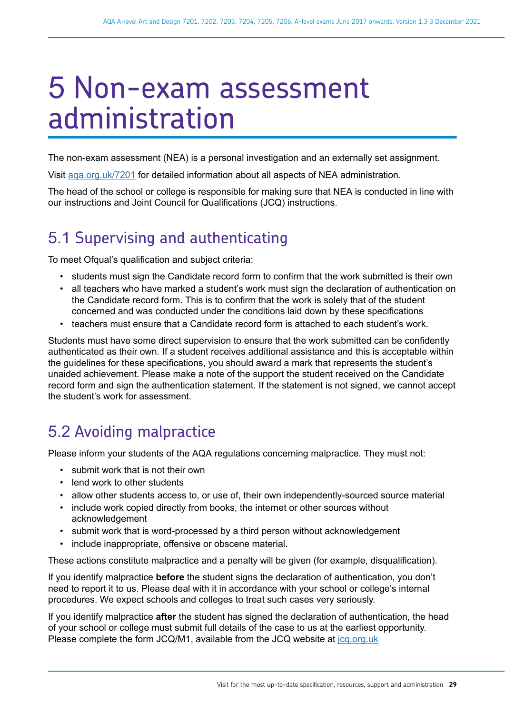# <span id="page-28-0"></span>5 Non-exam assessment administration

The non-exam assessment (NEA) is a personal investigation and an externally set assignment.

Visit [aqa.org.uk/7201](http://www.aqa.org.uk/7201) for detailed information about all aspects of NEA administration.

The head of the school or college is responsible for making sure that NEA is conducted in line with our instructions and Joint Council for Qualifications (JCQ) instructions.

# 5.1 Supervising and authenticating

To meet Ofqual's qualification and subject criteria:

- students must sign the Candidate record form to confirm that the work submitted is their own
- all teachers who have marked a student's work must sign the declaration of authentication on the Candidate record form. This is to confirm that the work is solely that of the student concerned and was conducted under the conditions laid down by these specifications
- teachers must ensure that a Candidate record form is attached to each student's work.

Students must have some direct supervision to ensure that the work submitted can be confidently authenticated as their own. If a student receives additional assistance and this is acceptable within the guidelines for these specifications, you should award a mark that represents the student's unaided achievement. Please make a note of the support the student received on the Candidate record form and sign the authentication statement. If the statement is not signed, we cannot accept the student's work for assessment.

# 5.2 Avoiding malpractice

Please inform your students of the AQA regulations concerning malpractice. They must not:

- submit work that is not their own
- lend work to other students
- allow other students access to, or use of, their own independently-sourced source material
- include work copied directly from books, the internet or other sources without acknowledgement
- submit work that is word-processed by a third person without acknowledgement
- include inappropriate, offensive or obscene material.

These actions constitute malpractice and a penalty will be given (for example, disqualification).

If you identify malpractice **before** the student signs the declaration of authentication, you don't need to report it to us. Please deal with it in accordance with your school or college's internal procedures. We expect schools and colleges to treat such cases very seriously.

If you identify malpractice **after** the student has signed the declaration of authentication, the head of your school or college must submit full details of the case to us at the earliest opportunity. Please complete the form JCQ/M1, available from the JCQ website at [jcq.org.uk](http://www.jcq.org.uk/)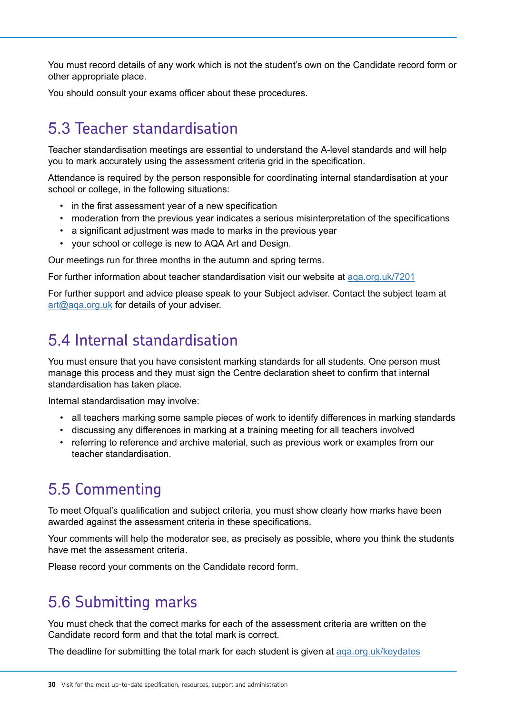<span id="page-29-0"></span>You must record details of any work which is not the student's own on the Candidate record form or other appropriate place.

You should consult your exams officer about these procedures.

# 5.3 Teacher standardisation

Teacher standardisation meetings are essential to understand the A-level standards and will help you to mark accurately using the assessment criteria grid in the specification.

Attendance is required by the person responsible for coordinating internal standardisation at your school or college, in the following situations:

- in the first assessment year of a new specification
- moderation from the previous year indicates a serious misinterpretation of the specifications
- a significant adjustment was made to marks in the previous year
- your school or college is new to AQA Art and Design.

Our meetings run for three months in the autumn and spring terms.

For further information about teacher standardisation visit our website at [aqa.org.uk/7201](http://www.aqa.org.uk/7201)

For further support and advice please speak to your Subject adviser. Contact the subject team at [art@aqa.org.uk](mailto:art@aqa.org.uk) for details of your adviser.

# 5.4 Internal standardisation

You must ensure that you have consistent marking standards for all students. One person must manage this process and they must sign the Centre declaration sheet to confirm that internal standardisation has taken place.

Internal standardisation may involve:

- all teachers marking some sample pieces of work to identify differences in marking standards
- discussing any differences in marking at a training meeting for all teachers involved
- referring to reference and archive material, such as previous work or examples from our teacher standardisation.

# 5.5 Commenting

To meet Ofqual's qualification and subject criteria, you must show clearly how marks have been awarded against the assessment criteria in these specifications.

Your comments will help the moderator see, as precisely as possible, where you think the students have met the assessment criteria.

Please record your comments on the Candidate record form.

# 5.6 Submitting marks

You must check that the correct marks for each of the assessment criteria are written on the Candidate record form and that the total mark is correct.

The deadline for submitting the total mark for each student is given at [aqa.org.uk/keydates](http://www.aqa.org.uk/keydates)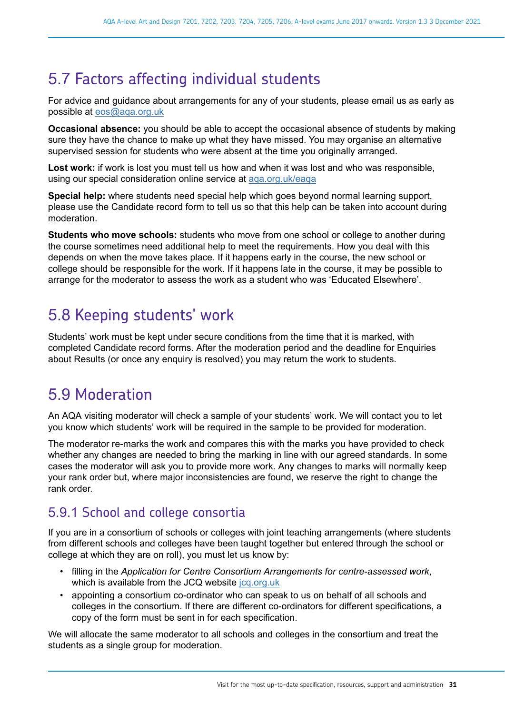# <span id="page-30-0"></span>5.7 Factors affecting individual students

For advice and guidance about arrangements for any of your students, please email us as early as possible at [eos@aqa.org.uk](mailto:eos@aqa.org.uk)

**Occasional absence:** you should be able to accept the occasional absence of students by making sure they have the chance to make up what they have missed. You may organise an alternative supervised session for students who were absent at the time you originally arranged.

**Lost work:** if work is lost you must tell us how and when it was lost and who was responsible, using our special consideration online service at [aqa.org.uk/eaqa](http://www.aqa.org.uk/eaqa)

**Special help:** where students need special help which goes beyond normal learning support, please use the Candidate record form to tell us so that this help can be taken into account during moderation.

**Students who move schools:** students who move from one school or college to another during the course sometimes need additional help to meet the requirements. How you deal with this depends on when the move takes place. If it happens early in the course, the new school or college should be responsible for the work. If it happens late in the course, it may be possible to arrange for the moderator to assess the work as a student who was 'Educated Elsewhere'.

# 5.8 Keeping students' work

Students' work must be kept under secure conditions from the time that it is marked, with completed Candidate record forms. After the moderation period and the deadline for Enquiries about Results (or once any enquiry is resolved) you may return the work to students.

# 5.9 Moderation

An AQA visiting moderator will check a sample of your students' work. We will contact you to let you know which students' work will be required in the sample to be provided for moderation.

The moderator re-marks the work and compares this with the marks you have provided to check whether any changes are needed to bring the marking in line with our agreed standards. In some cases the moderator will ask you to provide more work. Any changes to marks will normally keep your rank order but, where major inconsistencies are found, we reserve the right to change the rank order.

## 5.9.1 School and college consortia

If you are in a consortium of schools or colleges with joint teaching arrangements (where students from different schools and colleges have been taught together but entered through the school or college at which they are on roll), you must let us know by:

- filling in the *Application for Centre Consortium Arrangements for centre-assessed work*, which is available from the JCQ website [jcq.org.uk](http://www.jcq.org.uk/)
- appointing a consortium co-ordinator who can speak to us on behalf of all schools and colleges in the consortium. If there are different co-ordinators for different specifications, a copy of the form must be sent in for each specification.

We will allocate the same moderator to all schools and colleges in the consortium and treat the students as a single group for moderation.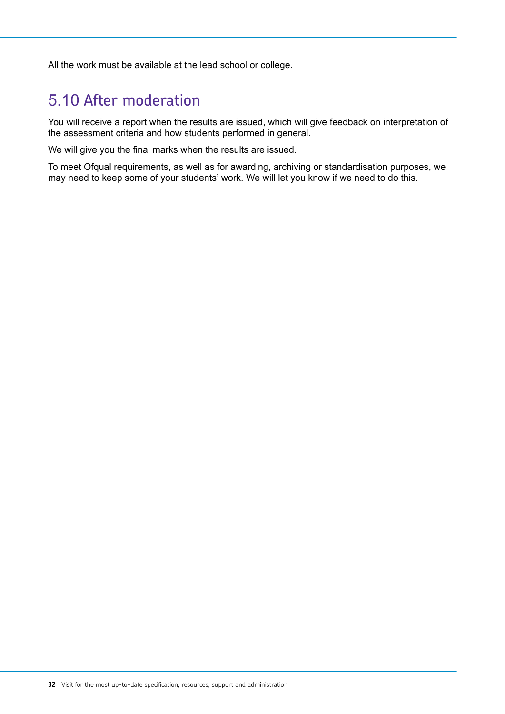<span id="page-31-0"></span>All the work must be available at the lead school or college.

# 5.10 After moderation

You will receive a report when the results are issued, which will give feedback on interpretation of the assessment criteria and how students performed in general.

We will give you the final marks when the results are issued.

To meet Ofqual requirements, as well as for awarding, archiving or standardisation purposes, we may need to keep some of your students' work. We will let you know if we need to do this.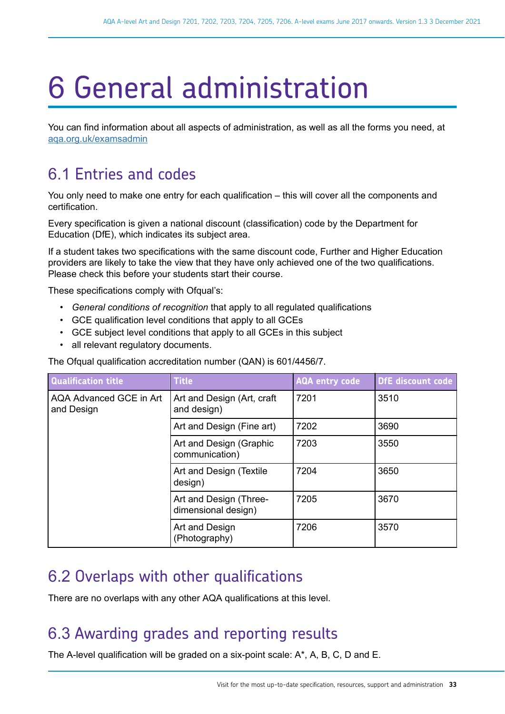# <span id="page-32-0"></span>6 General administration

You can find information about all aspects of administration, as well as all the forms you need, at [aqa.org.uk/examsadmin](http://aqa.org.uk/examsadmin)

# 6.1 Entries and codes

You only need to make one entry for each qualification – this will cover all the components and certification.

Every specification is given a national discount (classification) code by the Department for Education (DfE), which indicates its subject area.

If a student takes two specifications with the same discount code, Further and Higher Education providers are likely to take the view that they have only achieved one of the two qualifications. Please check this before your students start their course.

These specifications comply with Ofqual's:

- *General conditions of recognition* that apply to all regulated qualifications
- GCE qualification level conditions that apply to all GCEs
- GCE subject level conditions that apply to all GCEs in this subject
- all relevant regulatory documents.

The Ofqual qualification accreditation number (QAN) is 601/4456/7.

| <b>Qualification title</b>            | <b>Title</b>                                  | <b>AQA entry code</b> | <b>DfE</b> discount code |
|---------------------------------------|-----------------------------------------------|-----------------------|--------------------------|
| AQA Advanced GCE in Art<br>and Design | Art and Design (Art, craft<br>and design)     | 7201                  | 3510                     |
|                                       | Art and Design (Fine art)                     | 7202                  | 3690                     |
|                                       | Art and Design (Graphic<br>communication)     | 7203                  | 3550                     |
|                                       | Art and Design (Textile<br>design)            | 7204                  | 3650                     |
|                                       | Art and Design (Three-<br>dimensional design) | 7205                  | 3670                     |
|                                       | Art and Design<br>(Photography)               | 7206                  | 3570                     |

## 6.2 Overlaps with other qualifications

There are no overlaps with any other AQA qualifications at this level.

## 6.3 Awarding grades and reporting results

The A-level qualification will be graded on a six-point scale: A\*, A, B, C, D and E.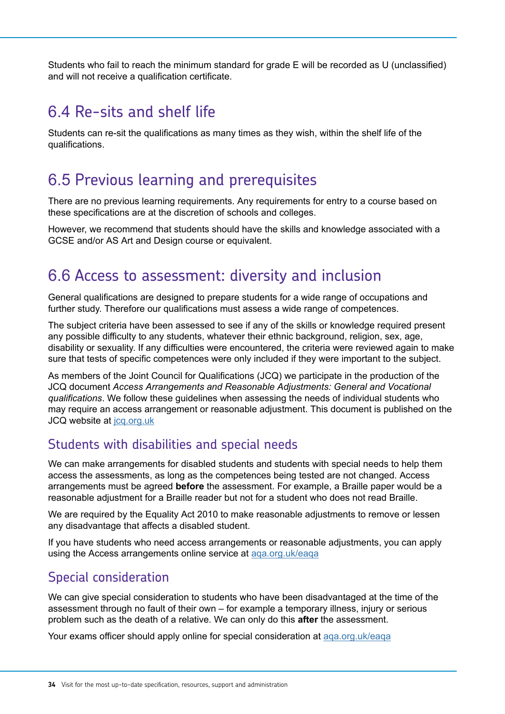<span id="page-33-0"></span>Students who fail to reach the minimum standard for grade E will be recorded as U (unclassified) and will not receive a qualification certificate.

# 6.4 Re-sits and shelf life

Students can re-sit the qualifications as many times as they wish, within the shelf life of the qualifications.

# 6.5 Previous learning and prerequisites

There are no previous learning requirements. Any requirements for entry to a course based on these specifications are at the discretion of schools and colleges.

However, we recommend that students should have the skills and knowledge associated with a GCSE and/or AS Art and Design course or equivalent.

## 6.6 Access to assessment: diversity and inclusion

General qualifications are designed to prepare students for a wide range of occupations and further study. Therefore our qualifications must assess a wide range of competences.

The subject criteria have been assessed to see if any of the skills or knowledge required present any possible difficulty to any students, whatever their ethnic background, religion, sex, age, disability or sexuality. If any difficulties were encountered, the criteria were reviewed again to make sure that tests of specific competences were only included if they were important to the subject.

As members of the Joint Council for Qualifications (JCQ) we participate in the production of the JCQ document *Access Arrangements and Reasonable Adjustments: General and Vocational qualifications*. We follow these guidelines when assessing the needs of individual students who may require an access arrangement or reasonable adjustment. This document is published on the JCQ website at [jcq.org.uk](http://www.jcq.org.uk/)

#### Students with disabilities and special needs

We can make arrangements for disabled students and students with special needs to help them access the assessments, as long as the competences being tested are not changed. Access arrangements must be agreed **before** the assessment. For example, a Braille paper would be a reasonable adjustment for a Braille reader but not for a student who does not read Braille.

We are required by the Equality Act 2010 to make reasonable adjustments to remove or lessen any disadvantage that affects a disabled student.

If you have students who need access arrangements or reasonable adjustments, you can apply using the Access arrangements online service at [aqa.org.uk/eaqa](http://www.aqa.org.uk/eaqa)

#### Special consideration

We can give special consideration to students who have been disadvantaged at the time of the assessment through no fault of their own – for example a temporary illness, injury or serious problem such as the death of a relative. We can only do this **after** the assessment.

Your exams officer should apply online for special consideration at [aqa.org.uk/eaqa](http://www.aqa.org.uk/eaqa)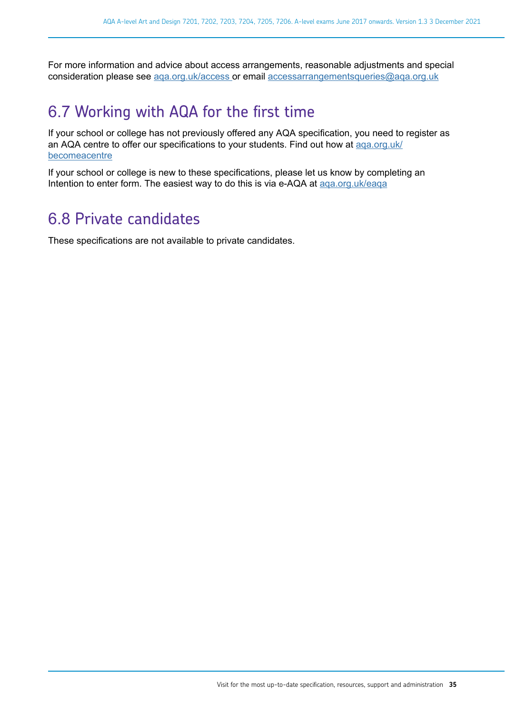<span id="page-34-0"></span>For more information and advice about access arrangements, reasonable adjustments and special consideration please see [aqa.org.uk/access o](http://www.aqa.org.uk/exams-administration/access-arrangements)r email [accessarrangementsqueries@aqa.org.uk](mailto:accessarrangementsqueries@aqa.org.uk)

## 6.7 Working with AQA for the first time

If your school or college has not previously offered any AQA specification, you need to register as an AQA centre to offer our specifications to your students. Find out how at [aqa.org.uk/](http://www.aqa.org.uk/becomeacentre) [becomeacentre](http://www.aqa.org.uk/becomeacentre)

If your school or college is new to these specifications, please let us know by completing an Intention to enter form. The easiest way to do this is via e-AQA at [aqa.org.uk/eaqa](http://www.aqa.org.uk/eaqa)

## 6.8 Private candidates

These specifications are not available to private candidates.